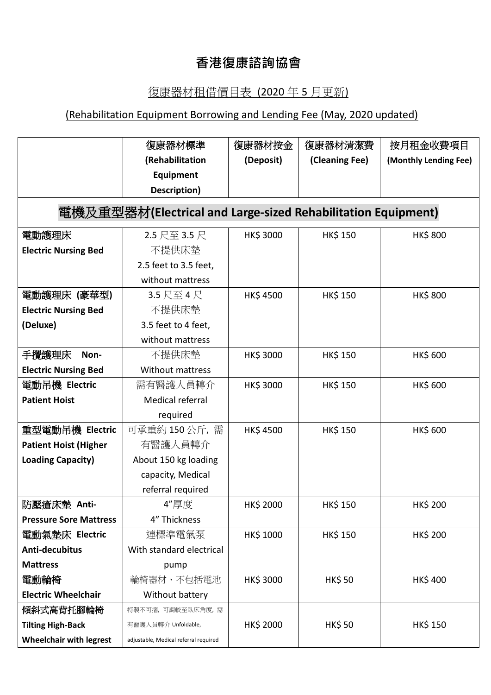## **香港復康諮詢協會**

## 復康器材租借價目表 (2020 年 5 月更新)

## (Rehabilitation Equipment Borrowing and Lending Fee (May, 2020 updated)

|                                                              | 復康器材標準                                | 復康器材按金          | 復康器材清潔費        | 按月租金收費項目              |  |  |  |
|--------------------------------------------------------------|---------------------------------------|-----------------|----------------|-----------------------|--|--|--|
|                                                              | (Rehabilitation                       | (Deposit)       | (Cleaning Fee) | (Monthly Lending Fee) |  |  |  |
|                                                              | Equipment                             |                 |                |                       |  |  |  |
|                                                              | Description)                          |                 |                |                       |  |  |  |
| 電機及重型器材(Electrical and Large-sized Rehabilitation Equipment) |                                       |                 |                |                       |  |  |  |
| 電動護理床                                                        | 2.5 尺至 3.5 尺                          | HK\$ 3000       | <b>HK\$150</b> | <b>HK\$800</b>        |  |  |  |
| <b>Electric Nursing Bed</b>                                  | 不提供床墊                                 |                 |                |                       |  |  |  |
|                                                              | 2.5 feet to 3.5 feet,                 |                 |                |                       |  |  |  |
|                                                              | without mattress                      |                 |                |                       |  |  |  |
| 電動護理床 (豪華型)                                                  | 3.5 尺至 4 尺                            | <b>HK\$4500</b> | <b>HK\$150</b> | <b>HK\$800</b>        |  |  |  |
| <b>Electric Nursing Bed</b>                                  | 不提供床墊                                 |                 |                |                       |  |  |  |
| (Deluxe)                                                     | 3.5 feet to 4 feet,                   |                 |                |                       |  |  |  |
|                                                              | without mattress                      |                 |                |                       |  |  |  |
| 手攪護理床<br>Non-                                                | 不提供床墊                                 | HK\$ 3000       | <b>HK\$150</b> | <b>HK\$ 600</b>       |  |  |  |
| <b>Electric Nursing Bed</b>                                  | <b>Without mattress</b>               |                 |                |                       |  |  |  |
| 電動吊機 Electric                                                | 需有醫護人員轉介                              | HK\$ 3000       | <b>HK\$150</b> | <b>HK\$ 600</b>       |  |  |  |
| <b>Patient Hoist</b>                                         | <b>Medical referral</b>               |                 |                |                       |  |  |  |
|                                                              | required                              |                 |                |                       |  |  |  |
| 重型電動吊機 Electric                                              | 可承重約 150 公斤,需                         | <b>HK\$4500</b> | <b>HK\$150</b> | <b>HK\$ 600</b>       |  |  |  |
| <b>Patient Hoist (Higher</b>                                 | 有醫護人員轉介                               |                 |                |                       |  |  |  |
| <b>Loading Capacity)</b>                                     | About 150 kg loading                  |                 |                |                       |  |  |  |
|                                                              | capacity, Medical                     |                 |                |                       |  |  |  |
|                                                              | referral required                     |                 |                |                       |  |  |  |
| 防壓瘡床墊 Anti-                                                  | 4"厚度                                  | HK\$ 2000       | <b>HK\$150</b> | HK\$ 200              |  |  |  |
| <b>Pressure Sore Mattress</b>                                | 4" Thickness                          |                 |                |                       |  |  |  |
| 電動氣墊床 Electric                                               | 連標準電氣泵                                | HK\$ 1000       | <b>HK\$150</b> | <b>HK\$ 200</b>       |  |  |  |
| Anti-decubitus                                               | With standard electrical              |                 |                |                       |  |  |  |
| <b>Mattress</b>                                              | pump                                  |                 |                |                       |  |  |  |
| 電動輪椅                                                         | 輪椅器材、不包括電池                            | HK\$ 3000       | <b>HK\$50</b>  | <b>HK\$400</b>        |  |  |  |
| <b>Electric Wheelchair</b>                                   | Without battery                       |                 |                |                       |  |  |  |
| 傾斜式高背托腳輪椅                                                    | 特製不可摺,可調較至臥床角度,需                      |                 |                |                       |  |  |  |
| <b>Tilting High-Back</b>                                     | 有醫護人員轉介 Unfoldable,                   | HK\$ 2000       | HK\$ 50        | <b>HK\$150</b>        |  |  |  |
| <b>Wheelchair with legrest</b>                               | adjustable, Medical referral required |                 |                |                       |  |  |  |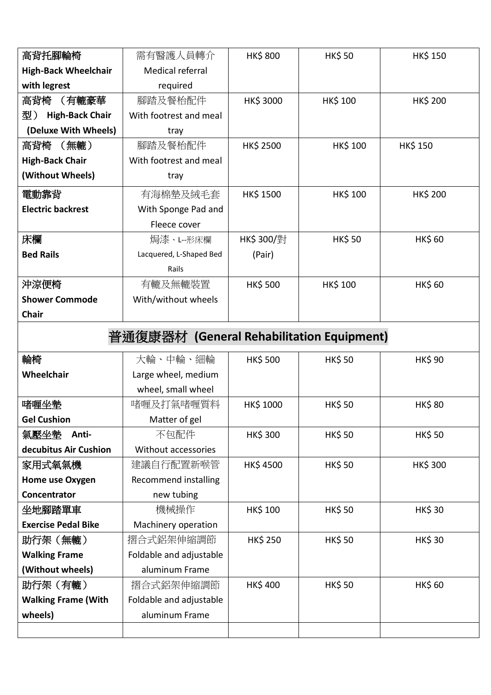| 高背托腳輪椅                                    | 需有醫護人員轉介                    | <b>HK\$800</b>  | <b>HK\$50</b>   | <b>HK\$150</b>  |  |
|-------------------------------------------|-----------------------------|-----------------|-----------------|-----------------|--|
| <b>High-Back Wheelchair</b>               | <b>Medical referral</b>     |                 |                 |                 |  |
| with legrest                              | required                    |                 |                 |                 |  |
| 高背椅<br>(有轆豪華                              | 腳踏及餐枱配件                     | HK\$ 3000       | <b>HK\$ 100</b> | HK\$ 200        |  |
| <b>High-Back Chair</b><br>型)              | With footrest and meal      |                 |                 |                 |  |
| (Deluxe With Wheels)                      | tray                        |                 |                 |                 |  |
| 高背椅 (無轆)                                  | 腳踏及餐枱配件                     | HK\$ 2500       | HK\$ 100        | <b>HK\$ 150</b> |  |
| <b>High-Back Chair</b>                    | With footrest and meal      |                 |                 |                 |  |
| (Without Wheels)                          | tray                        |                 |                 |                 |  |
| 電動靠背                                      | 有海棉墊及絨毛套                    | <b>HK\$1500</b> | <b>HK\$ 100</b> | <b>HK\$ 200</b> |  |
| <b>Electric backrest</b>                  | With Sponge Pad and         |                 |                 |                 |  |
|                                           | Fleece cover                |                 |                 |                 |  |
| 床欄                                        | 焗漆、L--形床欄                   | HK\$ 300/對      | <b>HK\$50</b>   | <b>HK\$60</b>   |  |
| <b>Bed Rails</b>                          | Lacquered, L-Shaped Bed     | (Pair)          |                 |                 |  |
|                                           | Rails                       |                 |                 |                 |  |
| 沖涼便椅                                      | 有轆及無轆裝置                     | <b>HK\$500</b>  | <b>HK\$ 100</b> | <b>HK\$60</b>   |  |
| <b>Shower Commode</b>                     | With/without wheels         |                 |                 |                 |  |
| Chair                                     |                             |                 |                 |                 |  |
| 普通復康器材 (General Rehabilitation Equipment) |                             |                 |                 |                 |  |
| 輪椅                                        | 大輪、中輪、細輪                    | <b>HK\$500</b>  | <b>HK\$50</b>   | <b>HK\$ 90</b>  |  |
| Wheelchair                                | Large wheel, medium         |                 |                 |                 |  |
|                                           | wheel, small wheel          |                 |                 |                 |  |
| 啫喱坐墊                                      | 啫喱及打氣啫喱質料                   | HK\$ 1000       | <b>HK\$50</b>   | <b>HK\$80</b>   |  |
| <b>Gel Cushion</b>                        | Matter of gel               |                 |                 |                 |  |
| 氣壓坐墊<br>Anti-                             | 不包配件                        | HK\$ 300        | <b>HK\$50</b>   | <b>HK\$50</b>   |  |
| decubitus Air Cushion                     | Without accessories         |                 |                 |                 |  |
| 家用式氧氣機                                    | 建議自行配置新喉管                   | <b>HK\$4500</b> | <b>HK\$50</b>   | <b>HK\$300</b>  |  |
| Home use Oxygen                           | <b>Recommend installing</b> |                 |                 |                 |  |
| Concentrator                              | new tubing                  |                 |                 |                 |  |
| 坐地腳踏單車                                    | 機械操作                        | HK\$ 100        | <b>HK\$50</b>   | <b>HK\$30</b>   |  |
| <b>Exercise Pedal Bike</b>                | Machinery operation         |                 |                 |                 |  |
| 助行架(無轆)                                   | 摺合式鋁架伸縮調節                   | <b>HK\$ 250</b> | <b>HK\$50</b>   | <b>HK\$30</b>   |  |
| <b>Walking Frame</b>                      | Foldable and adjustable     |                 |                 |                 |  |
| (Without wheels)                          | aluminum Frame              |                 |                 |                 |  |
| 助行架 (有轆)                                  | 摺合式鋁架伸縮調節                   | <b>HK\$400</b>  | <b>HK\$50</b>   | <b>HK\$60</b>   |  |
| <b>Walking Frame (With</b>                | Foldable and adjustable     |                 |                 |                 |  |
| wheels)                                   | aluminum Frame              |                 |                 |                 |  |
|                                           |                             |                 |                 |                 |  |